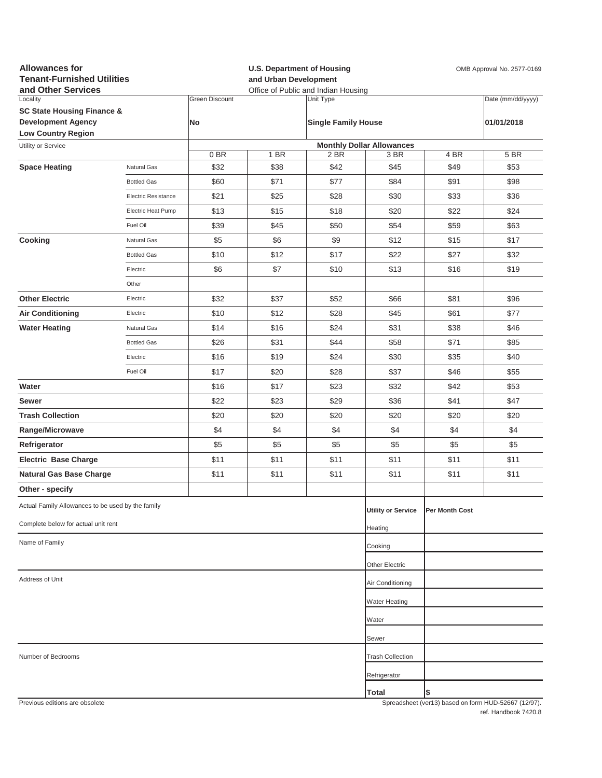| <b>Allowances for</b><br><b>Tenant-Furnished Utilities</b><br>and Other Services |                     |                             | <b>U.S. Department of Housing</b><br>OMB Approval No. 2577-0169<br>and Urban Development<br>Office of Public and Indian Housing |                                         |                                  |                |                                                     |
|----------------------------------------------------------------------------------|---------------------|-----------------------------|---------------------------------------------------------------------------------------------------------------------------------|-----------------------------------------|----------------------------------|----------------|-----------------------------------------------------|
| Locality<br><b>SC State Housing Finance &amp;</b><br><b>Development Agency</b>   |                     | <b>Green Discount</b><br>No |                                                                                                                                 | Unit Type<br><b>Single Family House</b> |                                  |                | Date (mm/dd/yyyy)<br>01/01/2018                     |
| <b>Low Country Region</b>                                                        |                     |                             |                                                                                                                                 |                                         |                                  |                |                                                     |
| Utility or Service                                                               |                     |                             |                                                                                                                                 |                                         | <b>Monthly Dollar Allowances</b> |                |                                                     |
| <b>Space Heating</b>                                                             | Natural Gas         | 0 BR<br>\$32                | 1 BR<br>\$38                                                                                                                    | 2 BR<br>\$42                            | 3 BR<br>\$45                     | 4 BR<br>\$49   | 5 BR<br>\$53                                        |
|                                                                                  | <b>Bottled Gas</b>  | \$60                        | \$71                                                                                                                            | \$77                                    | \$84                             | \$91           | \$98                                                |
|                                                                                  | Electric Resistance | \$21                        | \$25                                                                                                                            | \$28                                    | \$30                             | \$33           | \$36                                                |
|                                                                                  | Electric Heat Pump  | \$13                        | \$15                                                                                                                            | \$18                                    | \$20                             | \$22           | \$24                                                |
|                                                                                  | Fuel Oil            | \$39                        | \$45                                                                                                                            | \$50                                    | \$54                             | \$59           | \$63                                                |
| Cooking                                                                          | Natural Gas         | \$5                         | \$6                                                                                                                             | \$9                                     | \$12                             | \$15           | \$17                                                |
|                                                                                  | <b>Bottled Gas</b>  | \$10                        | \$12                                                                                                                            | \$17                                    | \$22                             | \$27           | \$32                                                |
|                                                                                  | Electric            | \$6                         | \$7                                                                                                                             | \$10                                    | \$13                             | \$16           | \$19                                                |
|                                                                                  | Other               |                             |                                                                                                                                 |                                         |                                  |                |                                                     |
| <b>Other Electric</b>                                                            | Electric            | \$32                        | \$37                                                                                                                            | \$52                                    | \$66                             | \$81           | \$96                                                |
| <b>Air Conditioning</b>                                                          | Electric            | \$10                        | \$12                                                                                                                            | \$28                                    | \$45                             | \$61           | \$77                                                |
| <b>Water Heating</b>                                                             | Natural Gas         | \$14                        | \$16                                                                                                                            | \$24                                    | \$31                             | \$38           | \$46                                                |
|                                                                                  | <b>Bottled Gas</b>  | \$26                        | \$31                                                                                                                            | \$44                                    | \$58                             | \$71           | \$85                                                |
|                                                                                  | Electric            | \$16                        | \$19                                                                                                                            | \$24                                    | \$30                             | \$35           | \$40                                                |
|                                                                                  | Fuel Oil            | \$17                        | \$20                                                                                                                            | \$28                                    | \$37                             | \$46           | \$55                                                |
| Water                                                                            |                     | \$16                        | \$17                                                                                                                            | \$23                                    | \$32                             | \$42           | \$53                                                |
| Sewer                                                                            |                     | \$22                        | \$23                                                                                                                            | \$29                                    | \$36                             | \$41           | \$47                                                |
| <b>Trash Collection</b>                                                          |                     | \$20                        | \$20                                                                                                                            | \$20                                    | \$20                             | \$20           | \$20                                                |
| Range/Microwave                                                                  |                     | \$4                         | \$4                                                                                                                             | \$4                                     | \$4                              | \$4            | \$4                                                 |
| Refrigerator                                                                     |                     | \$5                         | \$5                                                                                                                             | \$5                                     | \$5                              | \$5            | \$5                                                 |
| <b>Electric Base Charge</b>                                                      |                     | \$11                        | \$11                                                                                                                            | \$11                                    | \$11                             | \$11           | \$11                                                |
| <b>Natural Gas Base Charge</b>                                                   |                     | \$11                        | \$11                                                                                                                            | \$11                                    | \$11                             | \$11           | \$11                                                |
| Other - specify                                                                  |                     |                             |                                                                                                                                 |                                         |                                  |                |                                                     |
| Actual Family Allowances to be used by the family                                |                     |                             |                                                                                                                                 |                                         | <b>Utility or Service</b>        | Per Month Cost |                                                     |
| Complete below for actual unit rent                                              |                     |                             |                                                                                                                                 |                                         | Heating                          |                |                                                     |
| Name of Family                                                                   |                     |                             |                                                                                                                                 |                                         | Cooking                          |                |                                                     |
|                                                                                  |                     |                             |                                                                                                                                 |                                         | Other Electric                   |                |                                                     |
| Address of Unit                                                                  |                     |                             |                                                                                                                                 |                                         | Air Conditioning                 |                |                                                     |
|                                                                                  |                     |                             |                                                                                                                                 |                                         | Water Heating                    |                |                                                     |
|                                                                                  |                     |                             |                                                                                                                                 |                                         | Water                            |                |                                                     |
|                                                                                  |                     |                             |                                                                                                                                 |                                         | Sewer                            |                |                                                     |
| Number of Bedrooms                                                               |                     |                             |                                                                                                                                 |                                         | <b>Trash Collection</b>          |                |                                                     |
|                                                                                  |                     |                             |                                                                                                                                 |                                         | Refrigerator                     |                |                                                     |
|                                                                                  |                     |                             |                                                                                                                                 |                                         | Total                            | \$             |                                                     |
| Previous editions are obsolete                                                   |                     |                             |                                                                                                                                 |                                         |                                  |                | Spreadsheet (ver13) based on form HUD-52667 (12/97) |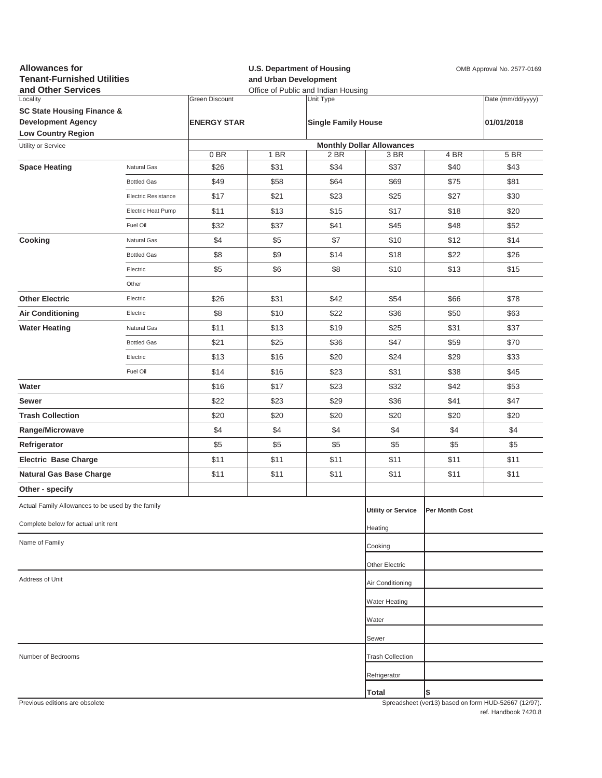| <b>Allowances for</b><br><b>Tenant-Furnished Utilities</b><br>and Other Services |                            |                       |      | <b>U.S. Department of Housing</b><br>OMB Approval No. 2577-0169<br>and Urban Development<br>Office of Public and Indian Housing |                                  |                       |                                                     |
|----------------------------------------------------------------------------------|----------------------------|-----------------------|------|---------------------------------------------------------------------------------------------------------------------------------|----------------------------------|-----------------------|-----------------------------------------------------|
| Locality                                                                         |                            | <b>Green Discount</b> |      | Unit Type                                                                                                                       |                                  |                       | Date (mm/dd/yyyy)                                   |
| <b>SC State Housing Finance &amp;</b><br><b>Development Agency</b>               |                            | <b>ENERGY STAR</b>    |      | <b>Single Family House</b>                                                                                                      |                                  |                       | 01/01/2018                                          |
| <b>Low Country Region</b>                                                        |                            |                       |      |                                                                                                                                 |                                  |                       |                                                     |
| Utility or Service                                                               |                            |                       |      |                                                                                                                                 | <b>Monthly Dollar Allowances</b> |                       |                                                     |
|                                                                                  |                            | 0BR                   | 1 BR | 2 BR                                                                                                                            | 3 BR                             | 4 BR                  | 5 BR                                                |
| <b>Space Heating</b>                                                             | Natural Gas                | \$26                  | \$31 | \$34                                                                                                                            | \$37                             | \$40                  | \$43                                                |
|                                                                                  | <b>Bottled Gas</b>         | \$49                  | \$58 | \$64                                                                                                                            | \$69                             | \$75                  | \$81                                                |
|                                                                                  | <b>Electric Resistance</b> | \$17                  | \$21 | \$23                                                                                                                            | \$25                             | \$27                  | \$30                                                |
|                                                                                  | Electric Heat Pump         | \$11                  | \$13 | \$15                                                                                                                            | \$17                             | \$18                  | \$20                                                |
|                                                                                  | Fuel Oil                   | \$32                  | \$37 | \$41                                                                                                                            | \$45                             | \$48                  | \$52                                                |
| Cooking                                                                          | Natural Gas                | \$4                   | \$5  | \$7                                                                                                                             | \$10                             | \$12                  | \$14                                                |
|                                                                                  | <b>Bottled Gas</b>         | \$8                   | \$9  | \$14                                                                                                                            | \$18                             | \$22                  | \$26                                                |
|                                                                                  | Electric                   | \$5                   | \$6  | \$8                                                                                                                             | \$10                             | \$13                  | \$15                                                |
|                                                                                  | Other                      |                       |      |                                                                                                                                 |                                  |                       |                                                     |
| <b>Other Electric</b>                                                            | Electric                   | \$26                  | \$31 | \$42                                                                                                                            | \$54                             | \$66                  | \$78                                                |
| <b>Air Conditioning</b>                                                          | Electric                   | \$8                   | \$10 | \$22                                                                                                                            | \$36                             | \$50                  | \$63                                                |
| <b>Water Heating</b>                                                             | Natural Gas                | \$11                  | \$13 | \$19                                                                                                                            | \$25                             | \$31                  | \$37                                                |
|                                                                                  | <b>Bottled Gas</b>         | \$21                  | \$25 | \$36                                                                                                                            | \$47                             | \$59                  | \$70                                                |
|                                                                                  | Electric                   | \$13                  | \$16 | \$20                                                                                                                            | \$24                             | \$29                  | \$33                                                |
|                                                                                  | Fuel Oil                   | \$14                  | \$16 | \$23                                                                                                                            | \$31                             | \$38                  | \$45                                                |
| Water                                                                            |                            | \$16                  | \$17 | \$23                                                                                                                            | \$32                             | \$42                  | \$53                                                |
| Sewer                                                                            |                            | \$22                  | \$23 | \$29                                                                                                                            | \$36                             | \$41                  | \$47                                                |
| <b>Trash Collection</b>                                                          |                            | \$20                  | \$20 | \$20                                                                                                                            | \$20                             | \$20                  | \$20                                                |
| Range/Microwave                                                                  |                            | \$4                   | \$4  | \$4                                                                                                                             | \$4                              | \$4                   | \$4                                                 |
| Refrigerator                                                                     |                            | \$5                   | \$5  | \$5                                                                                                                             | \$5                              | \$5                   | \$5                                                 |
| <b>Electric Base Charge</b>                                                      |                            | \$11                  | \$11 | \$11                                                                                                                            | \$11                             | \$11                  | \$11                                                |
| <b>Natural Gas Base Charge</b>                                                   |                            | \$11                  | \$11 | \$11                                                                                                                            | \$11                             | \$11                  | \$11                                                |
| Other - specify                                                                  |                            |                       |      |                                                                                                                                 |                                  |                       |                                                     |
|                                                                                  |                            |                       |      |                                                                                                                                 |                                  |                       |                                                     |
| Actual Family Allowances to be used by the family                                |                            |                       |      |                                                                                                                                 | <b>Utility or Service</b>        | <b>Per Month Cost</b> |                                                     |
| Complete below for actual unit rent                                              |                            |                       |      |                                                                                                                                 | Heating                          |                       |                                                     |
| Name of Family                                                                   |                            |                       |      |                                                                                                                                 | Cooking                          |                       |                                                     |
|                                                                                  |                            |                       |      |                                                                                                                                 | Other Electric                   |                       |                                                     |
| Address of Unit                                                                  |                            |                       |      |                                                                                                                                 | Air Conditioning                 |                       |                                                     |
|                                                                                  |                            |                       |      |                                                                                                                                 | <b>Water Heating</b>             |                       |                                                     |
|                                                                                  |                            |                       |      |                                                                                                                                 | Water                            |                       |                                                     |
|                                                                                  |                            |                       |      |                                                                                                                                 | Sewer                            |                       |                                                     |
|                                                                                  |                            |                       |      |                                                                                                                                 |                                  |                       |                                                     |
| Number of Bedrooms                                                               |                            |                       |      |                                                                                                                                 | <b>Trash Collection</b>          |                       |                                                     |
|                                                                                  |                            |                       |      |                                                                                                                                 | Refrigerator                     |                       |                                                     |
| Previous editions are obsolete                                                   |                            |                       |      |                                                                                                                                 | <b>Total</b>                     | \$                    | Spreadsheet (ver13) hased on form HUD-52667 (12/97) |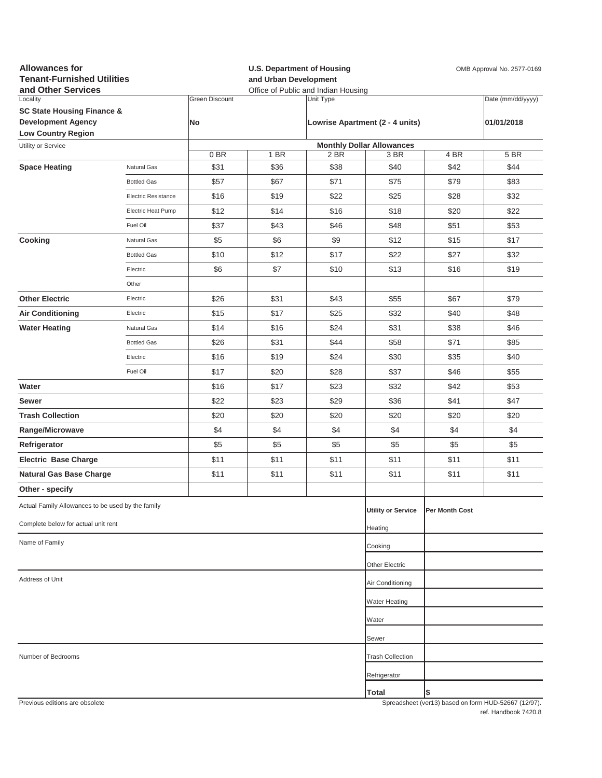| <b>Allowances for</b><br><b>Tenant-Furnished Utilities</b><br>and Other Services |                            |                       | <b>U.S. Department of Housing</b><br>and Urban Development<br>Office of Public and Indian Housing |           |                                  |                | OMB Approval No. 2577-0169                          |
|----------------------------------------------------------------------------------|----------------------------|-----------------------|---------------------------------------------------------------------------------------------------|-----------|----------------------------------|----------------|-----------------------------------------------------|
| Locality                                                                         |                            | <b>Green Discount</b> |                                                                                                   | Unit Type |                                  |                | Date (mm/dd/yyyy)                                   |
| <b>SC State Housing Finance &amp;</b>                                            |                            | <b>No</b>             |                                                                                                   |           |                                  |                |                                                     |
| <b>Development Agency</b><br><b>Low Country Region</b>                           |                            |                       |                                                                                                   |           | Lowrise Apartment (2 - 4 units)  |                | 01/01/2018                                          |
| Utility or Service                                                               |                            |                       |                                                                                                   |           | <b>Monthly Dollar Allowances</b> |                |                                                     |
|                                                                                  |                            | 0BR                   | 1 BR                                                                                              | 2 BR      | 3 BR                             | 4 BR           | 5 BR                                                |
| <b>Space Heating</b>                                                             | Natural Gas                | \$31                  | \$36                                                                                              | \$38      | \$40                             | \$42           | \$44                                                |
|                                                                                  | <b>Bottled Gas</b>         | \$57                  | \$67                                                                                              | \$71      | \$75                             | \$79           | \$83                                                |
|                                                                                  | <b>Electric Resistance</b> | \$16                  | \$19                                                                                              | \$22      | \$25                             | \$28           | \$32                                                |
|                                                                                  | Electric Heat Pump         | \$12                  | \$14                                                                                              | \$16      | \$18                             | \$20           | \$22                                                |
|                                                                                  | Fuel Oil                   | \$37                  | \$43                                                                                              | \$46      | \$48                             | \$51           | \$53                                                |
| Cooking                                                                          | Natural Gas                | \$5                   | \$6                                                                                               | \$9       | \$12                             | \$15           | \$17                                                |
|                                                                                  | <b>Bottled Gas</b>         | \$10                  | \$12                                                                                              | \$17      | \$22                             | \$27           | \$32                                                |
|                                                                                  | Electric                   | \$6                   | \$7                                                                                               | \$10      | \$13                             | \$16           | \$19                                                |
|                                                                                  | Other                      |                       |                                                                                                   |           |                                  |                |                                                     |
| <b>Other Electric</b>                                                            | Electric                   | \$26                  | \$31                                                                                              | \$43      | \$55                             | \$67           | \$79                                                |
| <b>Air Conditioning</b>                                                          | Electric                   | \$15                  | \$17                                                                                              | \$25      | \$32                             | \$40           | \$48                                                |
| <b>Water Heating</b>                                                             | Natural Gas                | \$14                  | \$16                                                                                              | \$24      | \$31                             | \$38           | \$46                                                |
|                                                                                  | <b>Bottled Gas</b>         | \$26                  | \$31                                                                                              | \$44      | \$58                             | \$71           | \$85                                                |
|                                                                                  | Electric                   | \$16                  | \$19                                                                                              | \$24      | \$30                             | \$35           | \$40                                                |
|                                                                                  | Fuel Oil                   | \$17                  | \$20                                                                                              | \$28      | \$37                             | \$46           | \$55                                                |
| Water                                                                            |                            | \$16                  | \$17                                                                                              | \$23      | \$32                             | \$42           | \$53                                                |
| Sewer                                                                            |                            | \$22                  | \$23                                                                                              | \$29      | \$36                             | \$41           | \$47                                                |
| <b>Trash Collection</b>                                                          |                            | \$20                  | \$20                                                                                              | \$20      | \$20                             | \$20           | \$20                                                |
| Range/Microwave                                                                  |                            | \$4                   | \$4                                                                                               | \$4       | \$4                              | \$4            | \$4                                                 |
| Refrigerator                                                                     |                            | \$5                   | \$5                                                                                               | \$5       | \$5                              | \$5            | \$5                                                 |
| <b>Electric Base Charge</b>                                                      |                            | \$11                  | \$11                                                                                              | \$11      | \$11                             | \$11           | \$11                                                |
|                                                                                  |                            |                       | \$11                                                                                              | \$11      | \$11                             | \$11           | \$11                                                |
| <b>Natural Gas Base Charge</b>                                                   |                            | \$11                  |                                                                                                   |           |                                  |                |                                                     |
| Other - specify                                                                  |                            |                       |                                                                                                   |           |                                  |                |                                                     |
| Actual Family Allowances to be used by the family                                |                            |                       |                                                                                                   |           | <b>Utility or Service</b>        | Per Month Cost |                                                     |
| Complete below for actual unit rent                                              |                            |                       |                                                                                                   |           | Heating                          |                |                                                     |
| Name of Family                                                                   |                            |                       |                                                                                                   |           | Cooking                          |                |                                                     |
|                                                                                  |                            |                       |                                                                                                   |           | Other Electric                   |                |                                                     |
| Address of Unit                                                                  |                            |                       |                                                                                                   |           | Air Conditioning                 |                |                                                     |
|                                                                                  |                            |                       |                                                                                                   |           | Water Heating                    |                |                                                     |
|                                                                                  |                            |                       |                                                                                                   |           | Water                            |                |                                                     |
|                                                                                  |                            |                       |                                                                                                   |           | Sewer                            |                |                                                     |
|                                                                                  |                            |                       |                                                                                                   |           |                                  |                |                                                     |
| Number of Bedrooms                                                               |                            |                       |                                                                                                   |           | <b>Trash Collection</b>          |                |                                                     |
|                                                                                  |                            |                       |                                                                                                   |           | Refrigerator                     |                |                                                     |
| Previous editions are obsolete                                                   |                            |                       |                                                                                                   |           | <b>Total</b>                     | \$             | Spreadsheet (ver13) hased on form HUD-52667 (12/97) |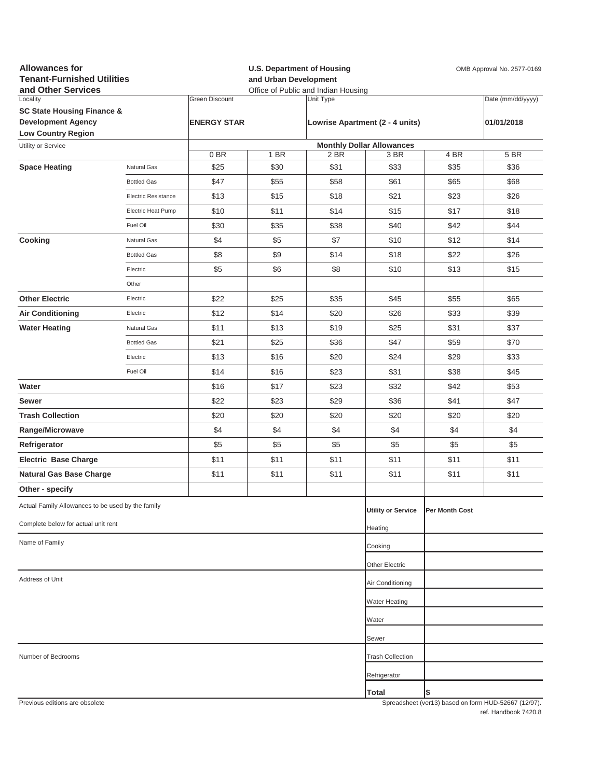| <b>Allowances for</b><br><b>Tenant-Furnished Utilities</b><br>and Other Services |                            |                       | <b>U.S. Department of Housing</b><br>OMB Approval No. 2577-0169<br>and Urban Development<br>Office of Public and Indian Housing |           |                                  |                |                                                     |
|----------------------------------------------------------------------------------|----------------------------|-----------------------|---------------------------------------------------------------------------------------------------------------------------------|-----------|----------------------------------|----------------|-----------------------------------------------------|
| Locality                                                                         |                            | <b>Green Discount</b> |                                                                                                                                 | Unit Type |                                  |                | Date (mm/dd/yyyy)                                   |
| <b>SC State Housing Finance &amp;</b>                                            |                            |                       |                                                                                                                                 |           |                                  |                |                                                     |
| <b>Development Agency</b><br><b>Low Country Region</b>                           |                            | <b>ENERGY STAR</b>    |                                                                                                                                 |           | Lowrise Apartment (2 - 4 units)  |                | 01/01/2018                                          |
| Utility or Service                                                               |                            |                       |                                                                                                                                 |           | <b>Monthly Dollar Allowances</b> |                |                                                     |
|                                                                                  |                            | 0BR                   | 1 BR                                                                                                                            | 2 BR      | 3 BR                             | 4 BR           | 5 BR                                                |
| <b>Space Heating</b>                                                             | Natural Gas                | \$25                  | \$30                                                                                                                            | \$31      | \$33                             | \$35           | \$36                                                |
|                                                                                  | <b>Bottled Gas</b>         | \$47                  | \$55                                                                                                                            | \$58      | \$61                             | \$65           | \$68                                                |
|                                                                                  | <b>Electric Resistance</b> | \$13                  | \$15                                                                                                                            | \$18      | \$21                             | \$23           | \$26                                                |
|                                                                                  | Electric Heat Pump         | \$10                  | \$11                                                                                                                            | \$14      | \$15                             | \$17           | \$18                                                |
|                                                                                  | Fuel Oil                   | \$30                  | \$35                                                                                                                            | \$38      | \$40                             | \$42           | \$44                                                |
| Cooking                                                                          | Natural Gas                | \$4                   | \$5                                                                                                                             | \$7       | \$10                             | \$12           | \$14                                                |
|                                                                                  | <b>Bottled Gas</b>         | \$8                   | \$9                                                                                                                             | \$14      | \$18                             | \$22           | \$26                                                |
|                                                                                  | Electric                   | \$5                   | \$6                                                                                                                             | \$8       | \$10                             | \$13           | \$15                                                |
|                                                                                  | Other                      |                       |                                                                                                                                 |           |                                  |                |                                                     |
| <b>Other Electric</b>                                                            | Electric                   | \$22                  | \$25                                                                                                                            | \$35      | \$45                             | \$55           | \$65                                                |
| <b>Air Conditioning</b>                                                          | Electric                   | \$12                  | \$14                                                                                                                            | \$20      | \$26                             | \$33           | \$39                                                |
| <b>Water Heating</b>                                                             | Natural Gas                | \$11                  | \$13                                                                                                                            | \$19      | \$25                             | \$31           | \$37                                                |
|                                                                                  | <b>Bottled Gas</b>         | \$21                  | \$25                                                                                                                            | \$36      | \$47                             | \$59           | \$70                                                |
|                                                                                  | Electric                   | \$13                  | \$16                                                                                                                            | \$20      | \$24                             | \$29           | \$33                                                |
|                                                                                  | Fuel Oil                   | \$14                  | \$16                                                                                                                            | \$23      | \$31                             | \$38           | \$45                                                |
| Water                                                                            |                            | \$16                  | \$17                                                                                                                            | \$23      | \$32                             | \$42           | \$53                                                |
| Sewer                                                                            |                            | \$22                  | \$23                                                                                                                            | \$29      | \$36                             | \$41           | \$47                                                |
| <b>Trash Collection</b>                                                          |                            | \$20                  | \$20                                                                                                                            | \$20      | \$20                             | \$20           | \$20                                                |
| Range/Microwave                                                                  |                            | \$4                   | \$4                                                                                                                             | \$4       | \$4                              | \$4            | \$4                                                 |
| Refrigerator                                                                     |                            | \$5                   | \$5                                                                                                                             | \$5       | \$5                              | \$5            | \$5                                                 |
| <b>Electric Base Charge</b>                                                      |                            | \$11                  | \$11                                                                                                                            | \$11      | \$11                             | \$11           | \$11                                                |
| <b>Natural Gas Base Charge</b>                                                   |                            | \$11                  | \$11                                                                                                                            | \$11      | \$11                             | \$11           | \$11                                                |
| Other - specify                                                                  |                            |                       |                                                                                                                                 |           |                                  |                |                                                     |
| Actual Family Allowances to be used by the family                                |                            |                       |                                                                                                                                 |           | <b>Utility or Service</b>        | Per Month Cost |                                                     |
| Complete below for actual unit rent                                              |                            |                       |                                                                                                                                 |           | Heating                          |                |                                                     |
| Name of Family                                                                   |                            |                       |                                                                                                                                 |           | Cooking                          |                |                                                     |
|                                                                                  |                            |                       |                                                                                                                                 |           | Other Electric                   |                |                                                     |
| Address of Unit                                                                  |                            |                       |                                                                                                                                 |           |                                  |                |                                                     |
|                                                                                  |                            |                       |                                                                                                                                 |           | Air Conditioning                 |                |                                                     |
|                                                                                  |                            |                       |                                                                                                                                 |           | <b>Water Heating</b>             |                |                                                     |
|                                                                                  |                            |                       |                                                                                                                                 |           | Water                            |                |                                                     |
|                                                                                  |                            |                       |                                                                                                                                 |           | Sewer                            |                |                                                     |
| Number of Bedrooms                                                               |                            |                       |                                                                                                                                 |           | <b>Trash Collection</b>          |                |                                                     |
|                                                                                  |                            |                       |                                                                                                                                 |           | Refrigerator                     |                |                                                     |
| Previous editions are obsolete                                                   |                            |                       |                                                                                                                                 |           | Total                            | \$             | Spreadsheet (ver13) hased on form HUD-52667 (12/97) |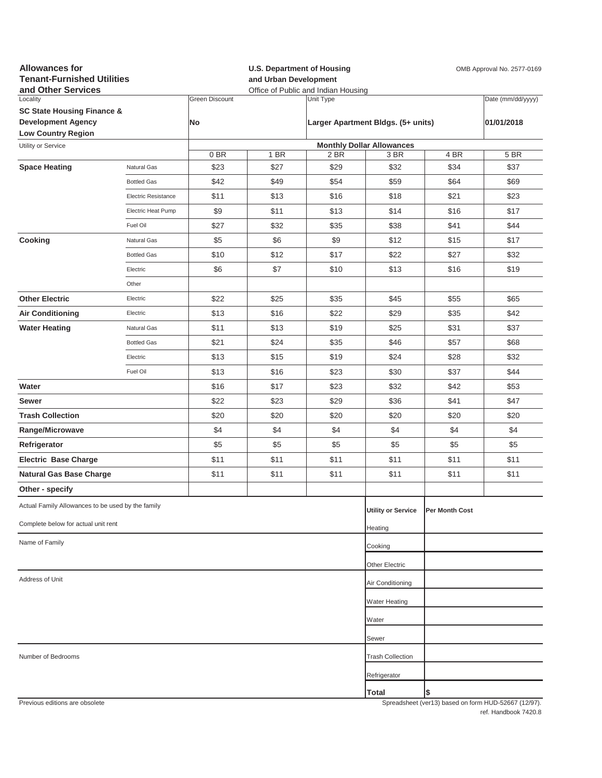| <b>Allowances for</b><br><b>Tenant-Furnished Utilities</b><br>and Other Services |                     |                       | and Urban Development | <b>U.S. Department of Housing</b><br>Office of Public and Indian Housing | OMB Approval No. 2577-0169         |                |                                                     |  |
|----------------------------------------------------------------------------------|---------------------|-----------------------|-----------------------|--------------------------------------------------------------------------|------------------------------------|----------------|-----------------------------------------------------|--|
| Locality                                                                         |                     | <b>Green Discount</b> |                       | Unit Type                                                                |                                    |                | Date (mm/dd/yyyy)                                   |  |
| <b>SC State Housing Finance &amp;</b>                                            |                     |                       |                       |                                                                          |                                    |                |                                                     |  |
| <b>Development Agency</b><br><b>Low Country Region</b>                           |                     | No                    |                       |                                                                          | Larger Apartment Bldgs. (5+ units) |                | 01/01/2018                                          |  |
| Utility or Service                                                               |                     |                       |                       |                                                                          | <b>Monthly Dollar Allowances</b>   |                |                                                     |  |
|                                                                                  |                     | 0BR                   | 1 BR                  | 2 BR                                                                     | 3 BR                               | 4 BR           | 5 BR                                                |  |
| <b>Space Heating</b>                                                             | Natural Gas         | \$23                  | \$27                  | \$29                                                                     | \$32                               | \$34           | \$37                                                |  |
|                                                                                  | <b>Bottled Gas</b>  | \$42                  | \$49                  | \$54                                                                     | \$59                               | \$64           | \$69                                                |  |
|                                                                                  | Electric Resistance | \$11                  | \$13                  | \$16                                                                     | \$18                               | \$21           | \$23                                                |  |
|                                                                                  | Electric Heat Pump  | \$9                   | \$11                  | \$13                                                                     | \$14                               | \$16           | \$17                                                |  |
|                                                                                  | Fuel Oil            | \$27                  | \$32                  | \$35                                                                     | \$38                               | \$41           | \$44                                                |  |
| Cooking                                                                          | Natural Gas         | \$5                   | \$6                   | \$9                                                                      | \$12                               | \$15           | \$17                                                |  |
|                                                                                  | <b>Bottled Gas</b>  | \$10                  | \$12                  | \$17                                                                     | \$22                               | \$27           | \$32                                                |  |
|                                                                                  | Electric            | \$6                   | \$7                   | \$10                                                                     | \$13                               | \$16           | \$19                                                |  |
|                                                                                  | Other               |                       |                       |                                                                          |                                    |                |                                                     |  |
| <b>Other Electric</b>                                                            | Electric            | \$22                  | \$25                  | \$35                                                                     | \$45                               | \$55           | \$65                                                |  |
| <b>Air Conditioning</b>                                                          | Electric            | \$13                  | \$16                  | \$22                                                                     | \$29                               | \$35           | \$42                                                |  |
| <b>Water Heating</b>                                                             | Natural Gas         | \$11                  | \$13                  | \$19                                                                     | \$25                               | \$31           | \$37                                                |  |
|                                                                                  | <b>Bottled Gas</b>  | \$21                  | \$24                  | \$35                                                                     | \$46                               | \$57           | \$68                                                |  |
|                                                                                  | Electric            | \$13                  | \$15                  | \$19                                                                     | \$24                               | \$28           | \$32                                                |  |
|                                                                                  | Fuel Oil            | \$13                  | \$16                  | \$23                                                                     | \$30                               | \$37           | \$44                                                |  |
| Water                                                                            |                     | \$16                  | \$17                  | \$23                                                                     | \$32                               | \$42           | \$53                                                |  |
| Sewer                                                                            |                     | \$22                  | \$23                  | \$29                                                                     | \$36                               | \$41           | \$47                                                |  |
| <b>Trash Collection</b>                                                          |                     | \$20                  | \$20                  | \$20                                                                     | \$20                               | \$20           | \$20                                                |  |
| Range/Microwave                                                                  |                     | \$4                   | \$4                   | \$4                                                                      | \$4                                | \$4            | \$4                                                 |  |
| Refrigerator                                                                     |                     | \$5                   | \$5                   | \$5                                                                      | \$5                                | \$5            | \$5                                                 |  |
| <b>Electric Base Charge</b>                                                      |                     | \$11                  | \$11                  | \$11                                                                     | \$11                               | \$11           | \$11                                                |  |
| <b>Natural Gas Base Charge</b>                                                   |                     | \$11                  | \$11                  | \$11                                                                     | \$11                               | \$11           | \$11                                                |  |
| Other - specify                                                                  |                     |                       |                       |                                                                          |                                    |                |                                                     |  |
| Actual Family Allowances to be used by the family                                |                     |                       |                       |                                                                          | <b>Utility or Service</b>          | Per Month Cost |                                                     |  |
| Complete below for actual unit rent                                              |                     |                       |                       |                                                                          |                                    |                |                                                     |  |
|                                                                                  |                     |                       |                       |                                                                          | Heating                            |                |                                                     |  |
| Name of Family                                                                   |                     |                       |                       |                                                                          | Cooking                            |                |                                                     |  |
|                                                                                  |                     |                       |                       |                                                                          | Other Electric                     |                |                                                     |  |
| Address of Unit                                                                  |                     |                       |                       |                                                                          | Air Conditioning                   |                |                                                     |  |
|                                                                                  |                     |                       |                       |                                                                          | <b>Water Heating</b>               |                |                                                     |  |
|                                                                                  |                     |                       |                       |                                                                          | Water                              |                |                                                     |  |
|                                                                                  |                     |                       |                       |                                                                          | Sewer                              |                |                                                     |  |
| Number of Bedrooms                                                               |                     |                       |                       |                                                                          | <b>Trash Collection</b>            |                |                                                     |  |
|                                                                                  |                     |                       |                       |                                                                          | Refrigerator                       |                |                                                     |  |
|                                                                                  |                     |                       |                       |                                                                          | Total                              | \$             |                                                     |  |
| Previous editions are obsolete                                                   |                     |                       |                       |                                                                          |                                    |                | Spreadsheet (ver13) hased on form HUD-52667 (12/97) |  |